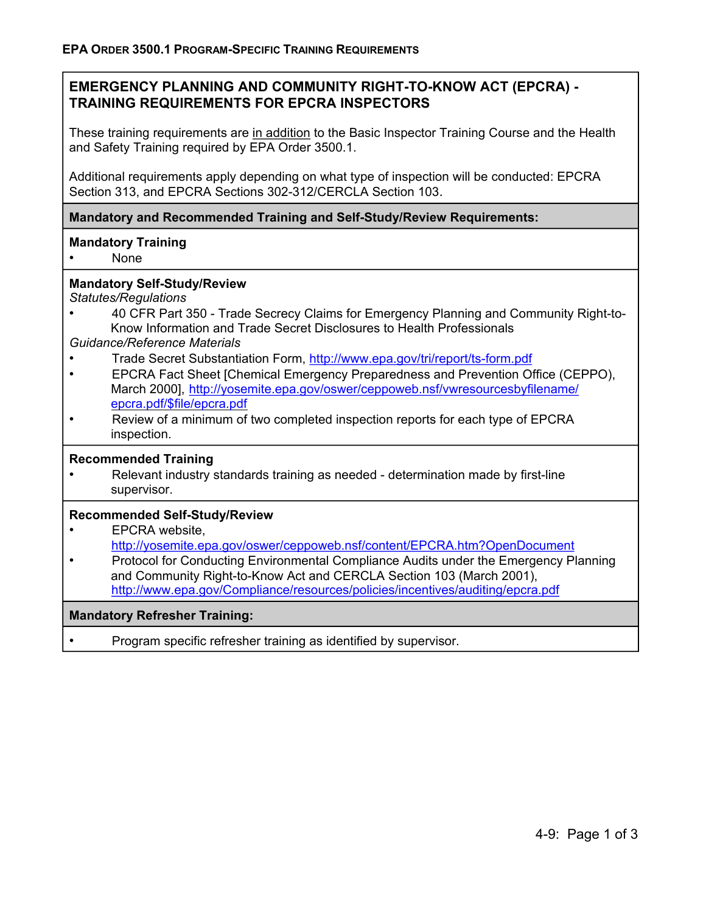# **EMERGENCY PLANNING AND COMMUNITY RIGHT-TO-KNOW ACT (EPCRA) - TRAINING REQUIREMENTS FOR EPCRA INSPECTORS**

These training requirements are in addition to the Basic Inspector Training Course and the Health and Safety Training required by EPA Order 3500.1.

Additional requirements apply depending on what type of inspection will be conducted: EPCRA Section 313, and EPCRA Sections 302-312/CERCLA Section 103.

**Mandatory and Recommended Training and Self-Study/Review Requirements:** 

### **Mandatory Training**

• None

### **Mandatory Self-Study/Review**

*Statutes/Regulations* 

• 40 CFR Part 350 - Trade Secrecy Claims for Emergency Planning and Community Right-to-Know Information and Trade Secret Disclosures to Health Professionals

#### *Guidance/Reference Materials*

- Trade Secret Substantiation Form, http://www.epa.gov/tri/report/ts-form.pdf
- EPCRA Fact Sheet [Chemical Emergency Preparedness and Prevention Office (CEPPO), March 2000], http://yosemite.epa.gov/oswer/ceppoweb.nsf/vwresourcesbyfilename/ epcra.pdf/\$file/epcra.pdf
- Review of a minimum of two completed inspection reports for each type of EPCRA inspection.

#### **Recommended Training**

• Relevant industry standards training as needed - determination made by first-line supervisor.

#### **Recommended Self-Study/Review**

### • **EPCRA** website, http://yosemite.epa.gov/oswer/ceppoweb.nsf/content/EPCRA.htm?OpenDocument

• Protocol for Conducting Environmental Compliance Audits under the Emergency Planning and Community Right-to-Know Act and CERCLA Section 103 (March 2001), http://www.epa.gov/Compliance/resources/policies/incentives/auditing/epcra.pdf

#### **Mandatory Refresher Training:**

• Program specific refresher training as identified by supervisor.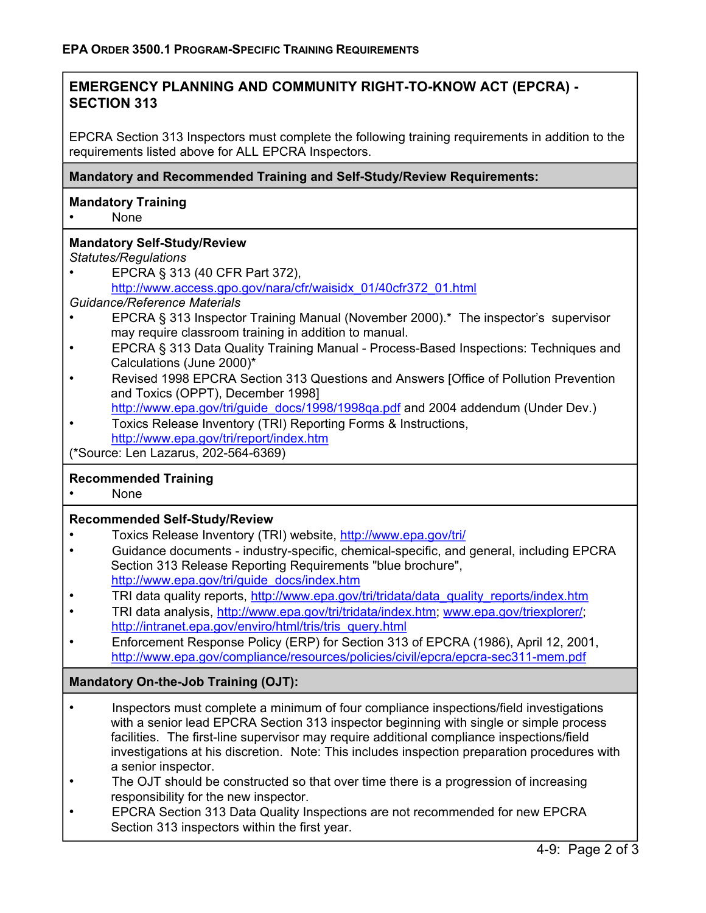# **EMERGENCY PLANNING AND COMMUNITY RIGHT-TO-KNOW ACT (EPCRA) - SECTION 313**

EPCRA Section 313 Inspectors must complete the following training requirements in addition to the requirements listed above for ALL EPCRA Inspectors.

### **Mandatory and Recommended Training and Self-Study/Review Requirements:**

## **Mandatory Training**

• None

# **Mandatory Self-Study/Review**

*Statutes/Regulations* 

• EPCRA § 313 (40 CFR Part 372), http://www.access.gpo.gov/nara/cfr/waisidx\_01/40cfr372\_01.html

### *Guidance/Reference Materials*

- EPCRA § 313 Inspector Training Manual (November 2000).\* The inspector's supervisor may require classroom training in addition to manual.
- EPCRA § 313 Data Quality Training Manual Process-Based Inspections: Techniques and Calculations (June 2000)\*
- Revised 1998 EPCRA Section 313 Questions and Answers [Office of Pollution Prevention and Toxics (OPPT), December 1998]

http://www.epa.gov/tri/guide\_docs/1998/1998ga.pdf and 2004 addendum (Under Dev.)

• Toxics Release Inventory (TRI) Reporting Forms & Instructions, http://www.epa.gov/tri/report/index.htm

(\*Source: Len Lazarus, 202-564-6369)

# **Recommended Training**

• None

### **Recommended Self-Study/Review**

- Toxics Release Inventory (TRI) website, http://www.epa.gov/tri/
- Guidance documents industry-specific, chemical-specific, and general, including EPCRA Section 313 Release Reporting Requirements "blue brochure", http://www.epa.gov/tri/guide\_docs/index.htm
- TRI data quality reports, http://www.epa.gov/tri/tridata/data\_quality\_reports/index.htm
- TRI data analysis, http://www.epa.gov/tri/tridata/index.htm; www.epa.gov/triexplorer/; http://intranet.epa.gov/enviro/html/tris/tris\_query.html
- Enforcement Response Policy (ERP) for Section 313 of EPCRA (1986), April 12, 2001, http://www.epa.gov/compliance/resources/policies/civil/epcra/epcra-sec311-mem.pdf

# **Mandatory On-the-Job Training (OJT):**

- Inspectors must complete a minimum of four compliance inspections/field investigations with a senior lead EPCRA Section 313 inspector beginning with single or simple process facilities. The first-line supervisor may require additional compliance inspections/field investigations at his discretion. Note: This includes inspection preparation procedures with a senior inspector.
- The OJT should be constructed so that over time there is a progression of increasing responsibility for the new inspector.
- EPCRA Section 313 Data Quality Inspections are not recommended for new EPCRA Section 313 inspectors within the first year.